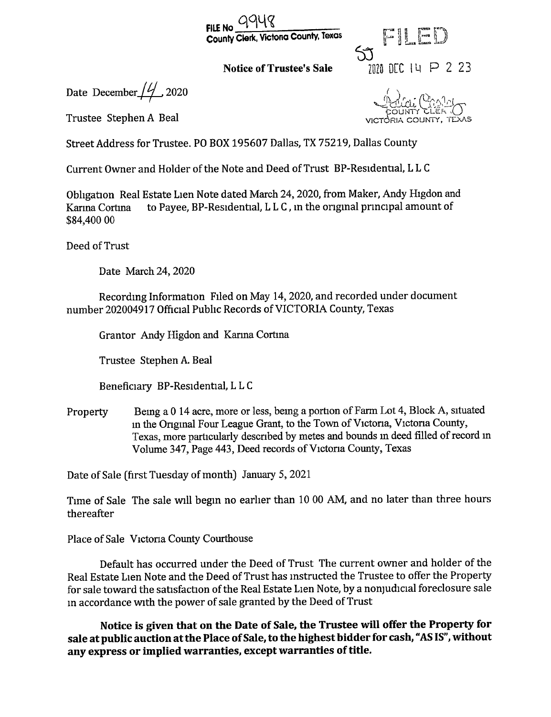



Date December  $/4/2$  2020

Trustee Stephen A Beal **Trustee Stephen A Beal** 

Street Address for Trustee. PO BOX 195607 Dallas, TX 75219, Dallas County

Current Owner and Holder of the Note and Deed of Trust BP -Residential, L L <sup>C</sup>

Obligation Real Estate Lien Note dated March 24, 2020, from Maker, Andy Higdon and Karina Cortina to Payee, BP-Residential, LLC, in the original principal amount of 84, 400 00

Deed of Trust

Date March 24, 2020

Recording Information Filed on May 14, 2020, and recorded under document number 202004917 Official Public Records of VICTORIA County, Texas

Grantor Andy Higdon and Karma Cortina

Trustee Stephen A. Beal

Beneficiary BP -Residential, L L <sup>C</sup>

Property Being <sup>a</sup> <sup>0</sup> <sup>14</sup> acre, more or less, being a portion of Farm Lot 4, Block A, situated in the Original Four League Grant, to the Town of Victoria, Victoria County, Texas, more particularly described by metes and bounds in deed filled of record in Volume 347, Page 443, Deed records of Victoria County, Texas

Date of Sale ( first Tuesday of month) January 5, 2021

Time of Sale The sale will begin no earlier than <sup>10</sup> 00 AM, and no later than three hours thereafter

Place of Sale Victoria County Courthouse

Default has occurred under the Deed of Trust The current owner and holder of the Real Estate Lien Note and the Deed of Trust has instructed the Trustee to offer the Property for sale toward the satisfaction of the Real Estate Lien Note, by a nonjudicial foreclosure sale in accordance with the power of sale granted by the Deed of Trust

Notice is given that on the Date of Sale, the Trustee will offer the Property for sale at public auction at the Place of Sale, to the highest bidder for cash, "AS IS", without any express or implied warranties, except warranties of title.

 $\widetilde{\text{UT}}$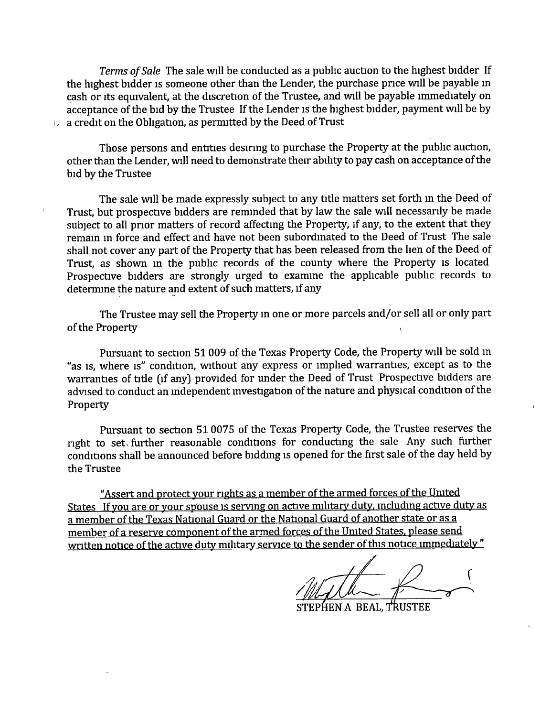Terms of Sale The sale will be conducted as a public auction to the highest bidder If the highest bidder is someone other than the Lender, the purchase price will be payable in cash or its equivalent, at the discretion of the Trustee, and will be payable immediately on acceptance of the bid by the Trustee If the Lender is the highest bidder, payment will be by  $\vee$  a credit on the Obligation, as permitted by the Deed of Trust

Those persons and entities desiring to purchase the Property at the public auction, other than the Lender, will need to demonstrate their ability to pay cash on acceptance of the bid by the Trustee

The sale will be made expressly subject to any title matters set forth in the Deed of Trust, but prospective bidders are reminded that by law the sale will necessarily be made subject to all prior matters of record affecting the Property, if any, to the extent that they remain in force and effect and have not been subordinated to the Deed of Trust The sale shall not cover any part of the Property that has been released from the lien of the Deed of Trust, as shown in the public records of the county where the Property is located Prospective bidders are strongly urged to examine the applicable public records to determine the nature and extent of such matters, if any

The Trustee may sell the Property in one or more parcels and/or sell all or only part of the Property

Pursuant to section 51009 of the Texas Property Code, the Property will be sold in as is, where is" condition, without any express or implied warranties, except as to the warranties of title (if any) provided for under the Deed of Trust Prospective bidders are advised to conduct an independent investigation of the nature and physical condition of the Property

Pursuant to section 510075 of the Texas Property Code, the Trustee reserves the right to set, further reasonable conditions for conducting the sale Any such further conditions shall be announced before bidding is opened for the first sale of the day held by the Trustee

Assert and protect your rights as a member of the armed forces of the United States If you are or your spouse is serving on active military duty, including active duty as a member of the Texas National Guard or the National Guard of another state or as a member of a reserve component of the armed forces of the United States, please send written notice of the active duty military service to the sender of this notice immediately"

s

STEPHEN A BEAL, TRUSTEE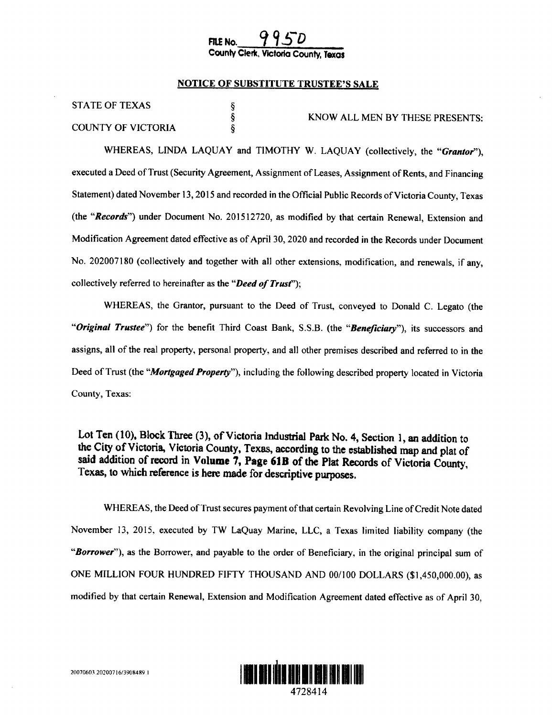# FILE No. County Clerk, Victoria County, Texas

### NOTICE OF SUBSTITUTE TRUSTEE'S SALE

§<br>§ Ş

|  | <b>STATE OF TEXAS</b> |
|--|-----------------------|
|--|-----------------------|

COUNTY OF VICTORIA

KNOW ALL MEN BY THESE PRESENTS:

WHEREAS, LINDA LAQUAY and TIMOTHY W. LAQUAY (collectively, the "Grantor"), executed <sup>a</sup> Deed of Trust( Security Agreement, Assignment of Leases, Assignment of Rents, and Financing Statement) dated November 13, 2015 and recorded in the Official Public Records of Victoria County, Texas (the "Records") under Document No. 201512720, as modified by that certain Renewal, Extension and Modification Agreement dated effective as of April 30, 2020 and recorded in the Records under Document No. 202007180 (collectively and together with all other extensions, modification, and renewals, if any, collectively referred to hereinafter as the "*Deed of Trust*");

WHEREAS, the Grantor, pursuant to the Deed of Trust, conveyed to Donald C. Legato (the "Original Trustee") for the benefit Third Coast Bank, S.S.B. (the "Beneficiary"), its successors and assigns, all of the real property, personal property, and all other premises described and referred to in the Deed of Trust (the "*Mortgaged Property*"), including the following described property located in Victoria County, Texas:

Lot Ten (10), Block Three (3), of Victoria Industrial Park No. 4, Section 1, an addition to the City of Victoria, Victoria County, Texas, according to the established map and plat of said addition of record in Volume 7, Page 61B of the Plat Records of Victoria County, Texas, to which reference is here made for descriptive purposes.

WHEREAS, the Deed of Trust secures payment of that certain Revolving Line of Credit Note dated November 13, 2015, executed by TW LaQuay Marine, LLC, a Texas limited liability company ( the "Borrower"), as the Borrower, and payable to the order of Beneficiary, in the original principal sum of ONE MILLION FOUR HUNDRED FIFTY THOUSAND AND 00/100 DOLLARS (\$1,450,000.00), as modified by that certain Renewal, Extension and Modification Agreement dated effective as of April 30,

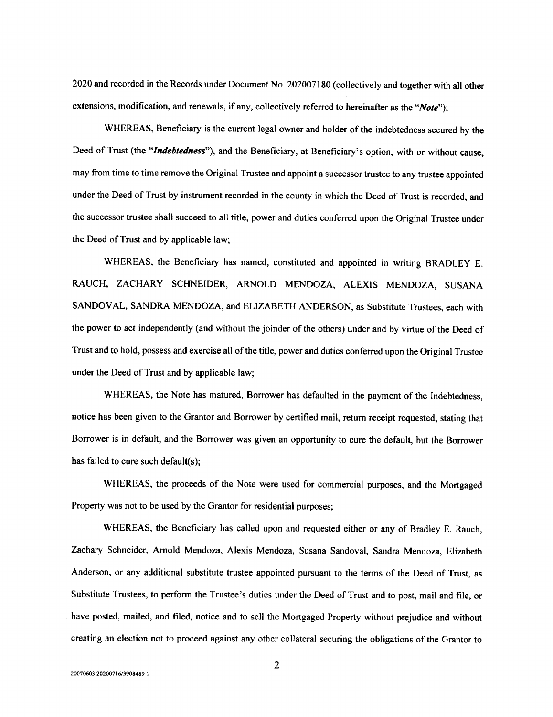2020 and recorded in the Records under Document No. 202007180( collectively and together with all other extensions, modification, and renewals, if any, collectively referred to hereinafter as the " $Note$ ");

WHEREAS, Beneficiary is the current legal owner and holder of the indebtedness secured by the Deed of Trust (the "Indebtedness"), and the Beneficiary, at Beneficiary's option, with or without cause, may from time to time remove the Original Trustee and appoint a successor trustee to any trustee appointed under the Deed of Trust by instrument recorded in the county in which the Deed of Trust is recorded, and the successor trustee shall succeed to all title, power and duties conferred upon the Original Trustee under the Deed of Trust and by applicable law;

WHEREAS, the Beneficiary has named, constituted and appointed in writing BRADLEY E. RAUCH, ZACHARY SCHNEIDER, ARNOLD MENDOZA, ALEXIS MENDOZA, SUSANA SANDOVAL, SANDRA MENDOZA, and ELIZABETH ANDERSON, as Substitute Trustees, each with the power to act independently (and without the joinder of the others) under and by virtue of the Deed of Trust and to hold, possess and exercise all of the title, power and duties conferred upon the Original Trustee under the Deed of Trust and by applicable law;

WHEREAS, the Note has matured, Borrower has defaulted in the payment of the Indebtedness, notice has been given to the Grantor and Borrower by certified mail, return receipt requested, stating that Borrower is in default, and the Borrower was given an opportunity to cure the default, but the Borrower has failed to cure such default(s);

WHEREAS, the proceeds of the Note were used for commercial purposes, and the Mortgaged Property was not to be used by the Grantor for residential purposes;

WHEREAS, the Beneficiary has called upon and requested either or any of Bradley E. Rauch, Zachary Schneider, Arnold Mendoza, Alexis Mendoza, Susana Sandoval, Sandra Mendoza, Elizabeth Anderson, or any additional substitute trustee appointed pursuant to the terms of the Deed of Trust, as Substitute Trustees, to perform the Trustee's duties under the Deed of Trust and to post, mail and file, or have posted, mailed, and filed, notice and to sell the Mortgaged Property without prejudice and without creating an election not to proceed against any other collateral securing the obligations ofthe Grantor to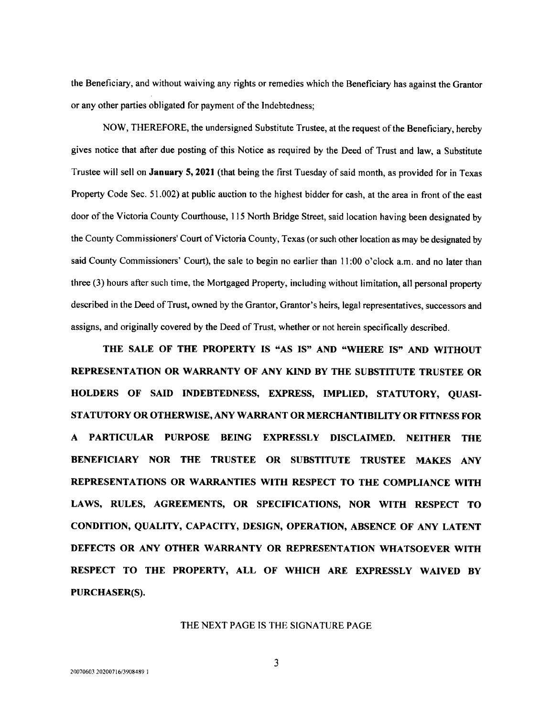the Beneficiary, and without waiving any rights or remedies which the Beneficiary has against the Grantor or any other parties obligated for payment of the Indebtedness;

NOW, THEREFORE, the undersigned Substitute Trustee, at the request of the Beneficiary, hereby gives notice that after due posting of this Notice as required by the Deed of Trust and law, a Substitute Trustee will sell on January 5, 2021 ( that being the first Tuesday of said month, as provided for in Texas Property Code Sec. 51.002) at public auction to the highest bidder for cash, at the area in front of the east door of the Victoria County Courthouse, 115 North Bridge Street, said location having been designated by the County Commissioners' Court of Victoria County, Texas (or such other location as may be designated by said County Commissioners' Court), the sale to begin no earlier than 11:00 o'clock a.m. and no later than three (3) hours after such time, the Mortgaged Property, including without limitation, all personal property described in the Deed of Trust, owned by the Grantor, Grantor's heirs, legal representatives, successors and assigns, and originally covered by the Deed of Trust, whether or not herein specifically described.

THE SALE OF THE PROPERTY IS "AS IS" AND "WHERE IS" AND WITHOUT REPRESENTATION OR WARRANTY OF ANY KIND BY THE SUBSTITUTE TRUSTEE OR HOLDERS OF SAID INDEBTEDNESS, EXPRESS, IMPLIED, STATUTORY, QUASI-STATUTORY OR OTHERWISE, ANY WARRANT OR MERCHANTIBILITY OR FITNESS FOR A PARTICULAR PURPOSE BEING EXPRESSLY DISCLAIMED. NEITHER THE BENEFICIARY NOR THE TRUSTEE OR SUBSTITUTE TRUSTEE MAKES ANY REPRESENTATIONS OR WARRANTIES WITH RESPECT TO THE COMPLIANCE WITH LAWS, RULES, AGREEMENTS, OR SPECIFICATIONS, NOR WITH RESPECT TO CONDITION, QUALITY, CAPACITY, DESIGN, OPERATION, ABSENCE OF ANY LATENT DEFECTS OR ANY OTHER WARRANTY OR REPRESENTATION WHATSOEVER WITH RESPECT TO THE PROPERTY, ALL OF WHICH ARE EXPRESSLY WAIVED BY PURCHASER(S).

#### THE NEXT PAGE IS THE SIGNATURE PAGE

3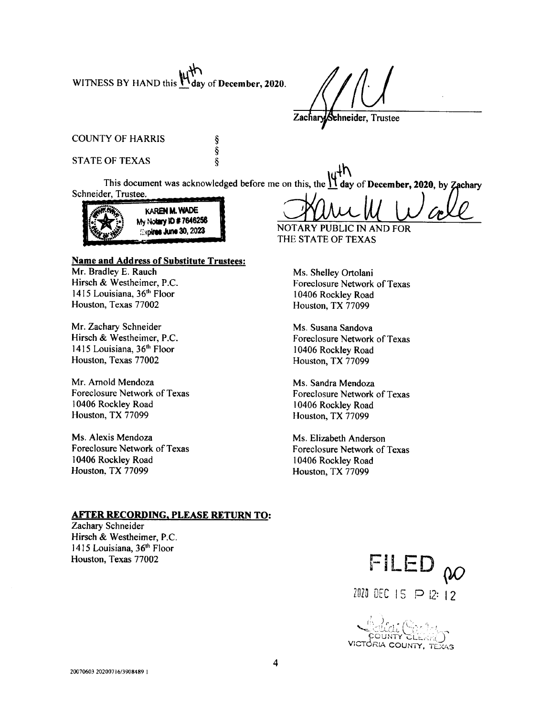WITNESS BY HAND this  $M_{\text{day of December, 2020}}$ .

ş Š  $\overline{\S}$ 

ehneider, Trustee

COUNTY OF HARRIS

### STATE OF TEXAS

This document was acknowledged before me on this, the  $\frac{11}{11}$  day of December, 2020, by Zachary Schneider, Trustee.



# Name and Address of Substitute Trustees:<br>Mr. Bradley E. Rauch

Mr. Bradley E. Rauch Ms. Shelley Ortolani<br>Hirsch & Westheimer, P.C. Ms. Shelley Ortolani 1415 Louisiana, 36<sup>th</sup> Floor 10406 Rockley Road<br>Houston, Texas 77002 Houston, TX 77099 Houston, Texas 77002

Mr. Zachary Schneider<br>
Hirsch & Westheimer, P.C.<br>
Foreclosure Network 1415 Louisiana, 36<sup>th</sup> Floor 10406 Rockley Road<br>Houston, Texas 77002 Houston, TX 77099

Mr. Arnold Mendoza Ms. Sandra Mendoza Foreclosure Network of Texas<br>
10406 Rockley Road<br>
10406 Rockley Road<br>
10406 Rockley Road 10406 Rockley Road<br>
10406 Rockley Road<br>
10406 Rockley Road<br>
10406 Rockley Road

Ms. Alexis Mendoza Ms. Elizabeth Anderson Foreclosure Network of Texas<br>
10406 Rockley Road<br>
10406 Rockley Road<br>
10406 Rockley Road 10406 Rockley Road<br>
10406 Rockley Road<br>
10406 Rockley Road<br>
10406 Rockley Road<br>
10406 Rockley Road

20**23** NOTARY PUBLIC IN AND FOR THE STATE OF TEXAS

Foreclosure Network of Texas

Foreclosure Network of Texas Houston, TX 77099

Houston, TX 77099

Houston, TX 77099

### AFTER RECORDING, PLEASE RETURN TO:

Zachary Schneider Hirsch & Westheimer, P.C. 1415 Louisiana, 36th Floor

Trustee<br>
Trustee<br>
December, 2020, by Zechary<br>  $\underbrace{\bigvee_{\mathbf{A}}\bigcup_{\mathbf{B}}\bigcup_{\mathbf{B}}\bigcup_{\mathbf{C}}\mathbf{C}}_{\mathbf{C}}$ <br>
S.S.<br>
S.<br>
As of Texas<br>
d<br>
As of Texas<br>
d<br>
As of Texas<br>
d<br>
TELED<br>  $\bigcirc \bigcirc$ <br>
DEC 15 P 12 12<br>
COUNTY, TEXAS Houston, Texas 77002 FILED 2020 DEC 15 P 12: 12

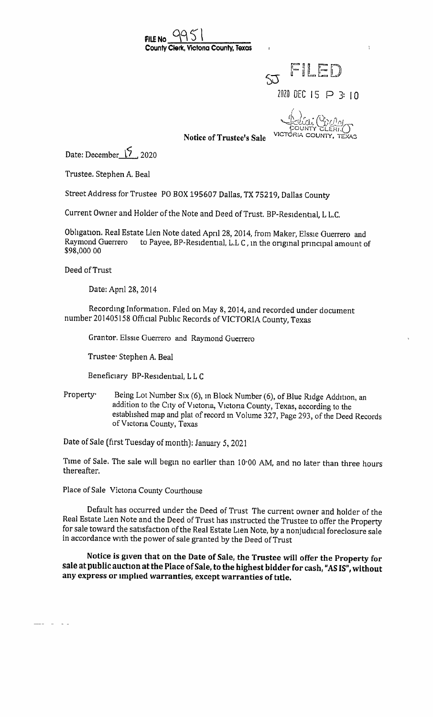



OUNTY

Notice of Trustee's Sale

Date: December  $\sqrt{2}$  2020

Trustee. Stephen A. Beal

Street Address for Trustee PO BOX 195607 Dallas, TX 75219, Dallas County

Current Owner and Holder of the Note and Deed of Trust. BP -Residential, L L.C.

Obligation. Real Estate Lien Note dated April 28, 2014, from Maker, Elssie Guerrero and to Payee, BP-Residential, L.L C, in the original principal amount of 98, 000 00

Deed of Trust

 $\sim$   $-$ 

Date: April 28, 2014

Recording Information. Filed on May 8, 2014, and recorded under document number 201405158 Official Public Records of VICTORIA County, Texas

Grantor. Elssie Guerrero and Raymond Guerrero

Trustee- Stephen A. Beal

Beneficiary BP -Residential, L L <sup>C</sup>

Property. Being Lot Number Six (6), in Block Number (6), of Blue Ridge Addition, an addition to the City of Victoria, Victoria County, Texas, according to the established map and plat of record in Volume 327, Page 293, of the Deed Records of Victoria County, Texas

Date of Sale ( first Tuesday of month): January 5, 2021

Time of Sale. The sale will begin no earlier than 10-00 AM, and no later than three hours thereafter.

Place of Sale Victoria County Courthouse

Default has occurred under the Deed of Trust The current owner and holder of the Real Estate Lien Note and the Deed of Trust has instructed the Trustee to offer the Property for sale toward the satisfaction of the Real Estate Lien Note, by a nonjudicial foreclosure sale in accordance with the power of sale granted by the Deed of Trust

Notice is given that on the Date of Sale, the Trustee will offer the Property for sale at public auction at the Place of Sale, to the highest bidder for cash, "AS IS", without any express or implied warranties, except warranties of title.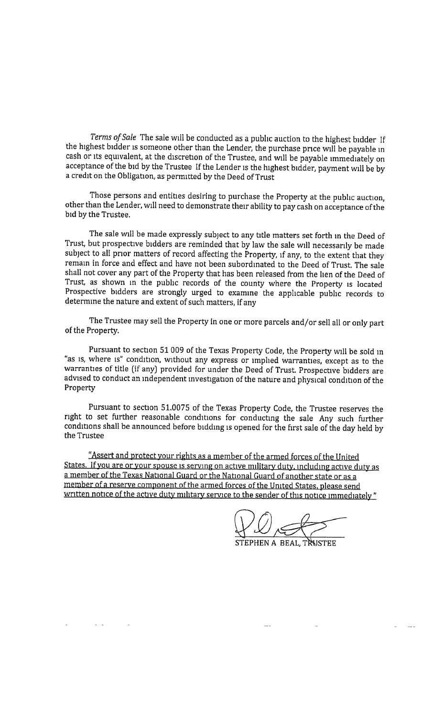Terms of Sale The sale will be conducted as a public auction to the highest bidder If the highest bidder is someone other than the Lender, the purchase price will be payable in cash or its equivalent, at the discretion of the Trustee, and will be payable immediately on acceptance of the bid by the Trustee If the Lender is the highest bidder, payment will be by <sup>a</sup> credit on the Obligation, as permitted by the Deed of Trust

Those persons and entities desiring to purchase the Property at the public auction, other than the Lender, will need to demonstrate their ability to pay cash on acceptance of the bid by the Trustee.

The sale will be made expressly subject to any title matters set forth in the Deed of Trust, but prospective bidders are reminded that by law the sale will necessarily be made subject to all prior matters of record affecting the Property, if any, to the extent that they remain in force and effect and have not been subordinated to the Deed of Trust. The sale shall not cover any part of the Property that has been released from the lien of the Deed of Trust, as shown in the public records of the county where the Property is located Prospective bidders are strongly urged to examine the applicable public records to determine the nature and extent of such matters, if any

The Trustee may sell the Property in one or more parcels and/or sell all or only part of the Property.

Pursuant to section 51009 of the Texas Property Code, the Property will be sold in "as is, where is" condition, without any express or implied warranties, except as to the warranties of title (if any) provided for under the Deed of Trust. Prospective bidders are advised to conduct an independent investigation of the nature and physical condition of the Property

Pursuant to section 51. 0075 of the Texas Property Code, the Trustee reserves the right to set further reasonable conditions for conducting the sale Any such further conditions shall be announced before bidding is opened for the first sale of the day held by the Trustee

Assert and protect your rights as a member of the armed forces of the United States. If you are or your spouse is serving on active military duty, including active duty as <sup>a</sup> member of the Texas National Guard or the National Guard of another state or as a member of a reserve component of the armed forces of the United States, please send written notice of the active duty military service to the sender of this notice immediately"

بير ليگ

STEPHEN A BEAL, TRUSTE!